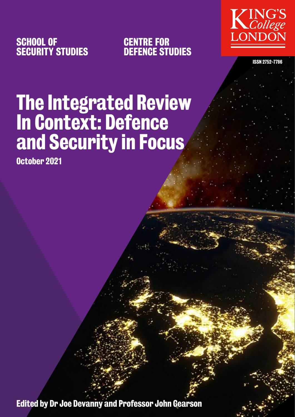

CENTRE FOR DEFENCE STUDIES



ISSN 2752-7786

# The Integrated Review In Context: Defence and Security in Focus

October 2021

Edited by Dr Joe Devanny and Professor John Gearson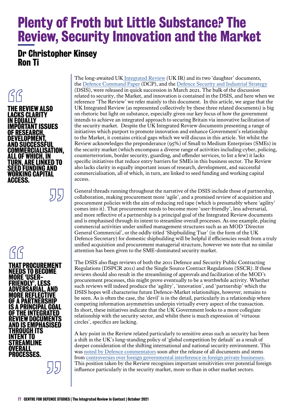## Plenty of Froth but Little Substance? The Review, Security Innovation and the Market

### Dr Christopher Kinsey Ron Ti



**GG**<br>That I<br>Need:<br><u>More</u> THAT PROCUREMENT NEEDS TO BECOME MORE 'USER-FRIENDLY', LESS ADVERSARIAL, AND MORE REFLECTIVE OF A PARTNERSHIP IS A PRINCIPAL GOAL OF THE INTEGRATED REVIEW DOCUMENTS AND IS EMPHASISED THROUGH ITS INTENT TO STREAMLINE OVERALL PROCESSES.

55)

The long-awaited UK [Integrated Review](https://www.gov.uk/government/publications/global-britain-in-a-competitive-age-the-integrated-review-of-security-defence-development-and-foreign-policy) (UK IR) and its two 'daughter' documents, the [Defence Command Paper](https://www.gov.uk/government/collections/integrated-review-ministry-of-defence) (DCP), and the [Defence Security and Industrial Strategy](https://www.gov.uk/government/publications/defence-and-security-industrial-strategy) (DSIS), were released in quick succession in March 2021. The bulk of the discussion related to security, the Market, and innovation is contained in the DSIS, and here when we reference 'The Review' we refer mainly to this document. In this article, we argue that the UK Integrated Review (as represented collectively by these three related documents) is big on rhetoric but light on substance, especially given our key focus of how the government intends to achieve an integrated approach to securing Britain via innovative facilitation of the security market. Despite the UK Integrated Review documents presenting a range of initiatives which purport to promote innovation and enhance Government's relationship to the Market, it contains critical gaps which we will discuss in this article. Yet whilst the Review acknowledges the preponderance (95%) of Small to Medium Enterprises (SMEs) in the security market (which encompass a diverse range of activities including cyber, policing, counterterrorism, border security, guarding, and offender services, to list a few) it lacks specific initiatives that reduce entry barriers for SMEs in this business sector. The Review also lacks clarity in equally important issues of research, development, and successful commercialisation, all of which, in turn, are linked to seed funding and working capital access.

General threads running throughout the narrative of the DSIS include those of partnership, collaboration, making procurement more 'agile', and a promised review of acquisition and procurement policies with the aim of reducing red tape (which is presumably where 'agility' comes into it). That procurement needs to become more 'user-friendly', less adversarial, and more reflective of a partnership is a principal goal of the Integrated Review documents and is emphasised through its intent to streamline overall processes. As one example, placing commercial activities under unified management structures such as an MOD 'Director General Commercial', or the oddly titled 'Shipbuilding Tsar' (in the form of the UK Defence Secretary) for domestic shipbuilding will be helpful if efficiencies result from a truly unified acquisition and procurement managerial structure, however we note that no similar attention has been given to the SME-dominated security market.

The DSIS also flags reviews of both the 2011 Defence and Security Public Contracting Regulations (DSPCR 2011) and the Single Source Contract Regulations (SSCR). If these reviews should also result in the streamlining of approvals and facilitation of the MOD's procurement processes, this might prove eventually to be a worthwhile activity. Whether such reviews will indeed produce the 'agility', 'innovation', and 'partnership' which the DSIS hopes will characterise future Defence-Market relationships, however, remains to be seen. As is often the case, the 'devil' is in the detail, particularly in a relationship where competing information asymmetries underpin virtually every aspect of the transaction. In short, these initiatives indicate that the UK Government looks to a more collegiate relationship with the security sector, and whilst there is much expression of 'virtuous circles', specifics are lacking.

A key point in the Review related particularly to sensitive areas such as security has been a shift in the UK's long-standing policy of 'global competition by default' as a result of deeper consideration of the shifting international and national security environment. This was [noted by Defence commentators](https://www.iiss.org/blogs/military-balance/2021/04/uk-defence-and-security-industrial-strategy) soon after the release of all documents and stems from [controversies over foreign governmental interference in foreign private businesses.](https://www.ft.com/content/cb58f6bb-b12f-405d-9c10-20b6aa06765f) This position taken by the Review recognises important sensitivities over potential foreign influence particularly in the security market, more so than in other market sectors.